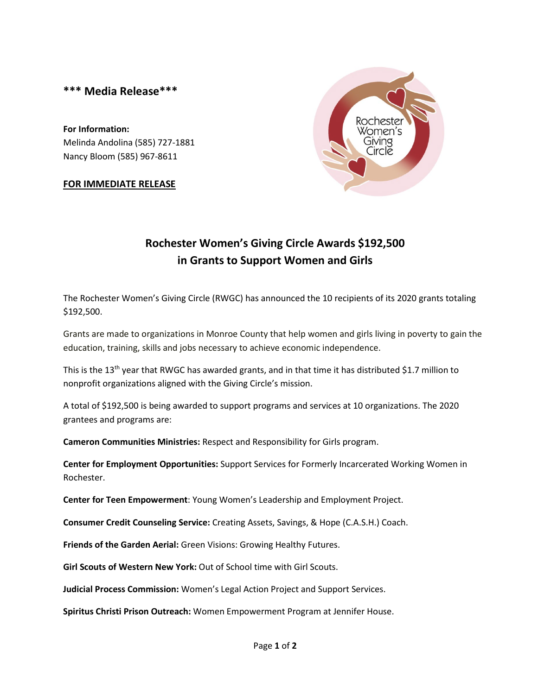## **\*\*\* Media Release\*\*\***

**For Information:** Melinda Andolina (585) 727-1881 Nancy Bloom (585) 967-8611

## **FOR IMMEDIATE RELEASE**



## **Rochester Women's Giving Circle Awards \$192,500 in Grants to Support Women and Girls**

The Rochester Women's Giving Circle (RWGC) has announced the 10 recipients of its 2020 grants totaling \$192,500.

Grants are made to organizations in Monroe County that help women and girls living in poverty to gain the education, training, skills and jobs necessary to achieve economic independence.

This is the 13<sup>th</sup> year that RWGC has awarded grants, and in that time it has distributed \$1.7 million to nonprofit organizations aligned with the Giving Circle's mission.

A total of \$192,500 is being awarded to support programs and services at 10 organizations. The 2020 grantees and programs are:

**Cameron Communities Ministries:** Respect and Responsibility for Girls program.

**Center for Employment Opportunities:** Support Services for Formerly Incarcerated Working Women in Rochester.

**Center for Teen Empowerment**: Young Women's Leadership and Employment Project.

**Consumer Credit Counseling Service:** Creating Assets, Savings, & Hope (C.A.S.H.) Coach.

**Friends of the Garden Aerial:** Green Visions: Growing Healthy Futures.

**Girl Scouts of Western New York:** Out of School time with Girl Scouts.

**Judicial Process Commission:** Women's Legal Action Project and Support Services.

**Spiritus Christi Prison Outreach:** Women Empowerment Program at Jennifer House.